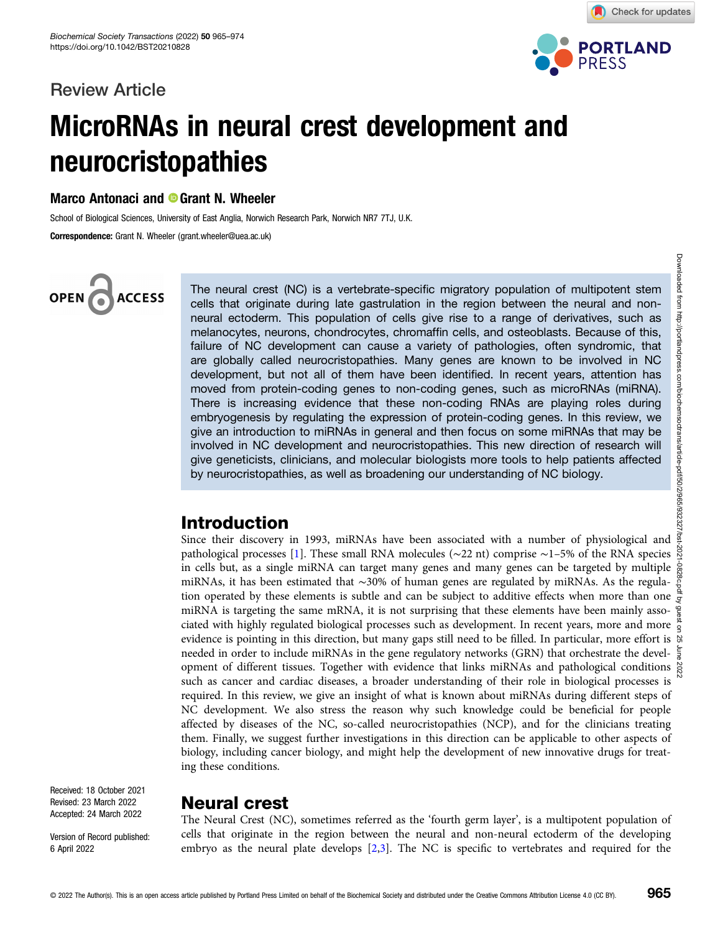# Review Article



Check for updates

# MicroRNAs in neural crest development and neurocristopathies

Marco Antonaci and <sup>®</sup> Grant N. Wheeler

School of Biological Sciences, University of East Anglia, Norwich Research Park, Norwich NR7 7TJ, U.K.

Correspondence: Grant N. Wheeler (grant.wheeler@uea.ac.uk)

# OPEN<sub>6</sub> **ACCESS**

The neural crest (NC) is a vertebrate-specific migratory population of multipotent stem cells that originate during late gastrulation in the region between the neural and nonneural ectoderm. This population of cells give rise to a range of derivatives, such as melanocytes, neurons, chondrocytes, chromaffin cells, and osteoblasts. Because of this, failure of NC development can cause a variety of pathologies, often syndromic, that are globally called neurocristopathies. Many genes are known to be involved in NC development, but not all of them have been identified. In recent years, attention has moved from protein-coding genes to non-coding genes, such as microRNAs (miRNA). There is increasing evidence that these non-coding RNAs are playing roles during embryogenesis by regulating the expression of protein-coding genes. In this review, we give an introduction to miRNAs in general and then focus on some miRNAs that may be involved in NC development and neurocristopathies. This new direction of research will give geneticists, clinicians, and molecular biologists more tools to help patients affected by neurocristopathies, as well as broadening our understanding of NC biology.

# Introduction

Since their discovery in 1993, miRNAs have been associated with a number of physiological and pathological processes [\[1](#page-7-0)]. These small RNA molecules (∼22 nt) comprise ~1–5% of the RNA species § in cells but, as a single miRNA can target many genes and many genes can be targeted by multiple  $\frac{1}{60}$ miRNAs, it has been estimated that ∼30% of human genes are regulated by miRNAs. As the regulation operated by these elements is subtle and can be subject to additive effects when more than one  $\frac{4}{5}$ miRNA is targeting the same mRNA, it is not surprising that these elements have been mainly asso- $\frac{\infty}{8}$ ciated with highly regulated biological processes such as development. In recent years, more and more evidence is pointing in this direction, but many gaps still need to be filled. In particular, more effort is  $\Re$ needed in order to include miRNAs in the gene regulatory networks (GRN) that orchestrate the devel- $\frac{1}{8}$ opment of different tissues. Together with evidence that links miRNAs and pathological conditions  $\frac{8}{60}$ such as cancer and cardiac diseases, a broader understanding of their role in biological processes is required. In this review, we give an insight of what is known about miRNAs during different steps of NC development. We also stress the reason why such knowledge could be beneficial for people affected by diseases of the NC, so-called neurocristopathies (NCP), and for the clinicians treating them. Finally, we suggest further investigations in this direction can be applicable to other aspects of biology, including cancer biology, and might help the development of new innovative drugs for treating these conditions.

Received: 18 October 2021 Revised: 23 March 2022 Accepted: 24 March 2022

Version of Record published: 6 April 2022

# Neural crest

The Neural Crest (NC), sometimes referred as the 'fourth germ layer', is a multipotent population of cells that originate in the region between the neural and non-neural ectoderm of the developing embryo as the neural plate develops [[2,3\]](#page-7-0). The NC is specific to vertebrates and required for the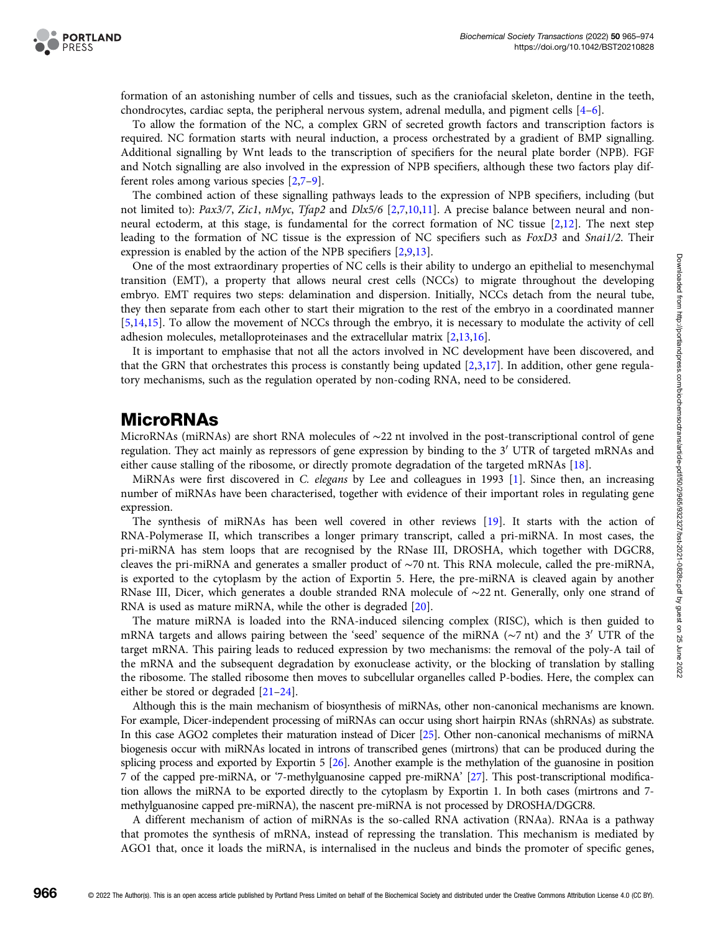

formation of an astonishing number of cells and tissues, such as the craniofacial skeleton, dentine in the teeth, chondrocytes, cardiac septa, the peripheral nervous system, adrenal medulla, and pigment cells [\[4](#page-7-0)–[6\]](#page-7-0).

To allow the formation of the NC, a complex GRN of secreted growth factors and transcription factors is required. NC formation starts with neural induction, a process orchestrated by a gradient of BMP signalling. Additional signalling by Wnt leads to the transcription of specifiers for the neural plate border (NPB). FGF and Notch signalling are also involved in the expression of NPB specifiers, although these two factors play different roles among various species [[2](#page-7-0),[7](#page-7-0)–[9](#page-7-0)].

The combined action of these signalling pathways leads to the expression of NPB specifiers, including (but not limited to): Pax3/7, Zic1, nMyc, Tfap[2](#page-7-0) and Dlx5/6 [2,[7](#page-7-0),[10,11\]](#page-7-0). A precise balance between neural and nonneural ectoderm, at this stage, is fundamental for the correct formation of NC tissue [[2](#page-7-0),[12](#page-7-0)]. The next step leading to the formation of NC tissue is the expression of NC specifiers such as FoxD3 and Snai1/2. Their expression is enabled by the action of the NPB specifiers [[2,9,13](#page-7-0)].

One of the most extraordinary properties of NC cells is their ability to undergo an epithelial to mesenchymal transition (EMT), a property that allows neural crest cells (NCCs) to migrate throughout the developing embryo. EMT requires two steps: delamination and dispersion. Initially, NCCs detach from the neural tube, they then separate from each other to start their migration to the rest of the embryo in a coordinated manner [[5,14,15\]](#page-7-0). To allow the movement of NCCs through the embryo, it is necessary to modulate the activity of cell adhesion molecules, metalloproteinases and the extracellular matrix [[2](#page-7-0),[13,16\]](#page-7-0).

It is important to emphasise that not all the actors involved in NC development have been discovered, and that the GRN that orchestrates this process is constantly being updated [\[2,3,17\]](#page-7-0). In addition, other gene regulatory mechanisms, such as the regulation operated by non-coding RNA, need to be considered.

## MicroRNAs

MicroRNAs (miRNAs) are short RNA molecules of ∼22 nt involved in the post-transcriptional control of gene regulation. They act mainly as repressors of gene expression by binding to the 3<sup>'</sup> UTR of targeted mRNAs and either cause stalling of the ribosome, or directly promote degradation of the targeted mRNAs [[18](#page-7-0)].

MiRNAs were first discovered in C. elegans by Lee and colleagues in 1993 [[1](#page-7-0)]. Since then, an increasing number of miRNAs have been characterised, together with evidence of their important roles in regulating gene expression.

The synthesis of miRNAs has been well covered in other reviews [[19](#page-7-0)]. It starts with the action of RNA-Polymerase II, which transcribes a longer primary transcript, called a pri-miRNA. In most cases, the pri-miRNA has stem loops that are recognised by the RNase III, DROSHA, which together with DGCR8, cleaves the pri-miRNA and generates a smaller product of ∼70 nt. This RNA molecule, called the pre-miRNA, is exported to the cytoplasm by the action of Exportin 5. Here, the pre-miRNA is cleaved again by another RNase III, Dicer, which generates a double stranded RNA molecule of ∼22 nt. Generally, only one strand of RNA is used as mature miRNA, while the other is degraded [[20](#page-7-0)].

The mature miRNA is loaded into the RNA-induced silencing complex (RISC), which is then guided to mRNA targets and allows pairing between the 'seed' sequence of the miRNA ( $\sim$ 7 nt) and the 3<sup>'</sup> UTR of the target mRNA. This pairing leads to reduced expression by two mechanisms: the removal of the poly-A tail of the mRNA and the subsequent degradation by exonuclease activity, or the blocking of translation by stalling the ribosome. The stalled ribosome then moves to subcellular organelles called P-bodies. Here, the complex can either be stored or degraded [[21](#page-7-0)–[24](#page-7-0)].

Although this is the main mechanism of biosynthesis of miRNAs, other non-canonical mechanisms are known. For example, Dicer-independent processing of miRNAs can occur using short hairpin RNAs (shRNAs) as substrate. In this case AGO2 completes their maturation instead of Dicer [\[25\]](#page-7-0). Other non-canonical mechanisms of miRNA biogenesis occur with miRNAs located in introns of transcribed genes (mirtrons) that can be produced during the splicing process and exported by Exportin 5 [\[26](#page-7-0)]. Another example is the methylation of the guanosine in position 7 of the capped pre-miRNA, or '7-methylguanosine capped pre-miRNA' [[27\]](#page-7-0). This post-transcriptional modification allows the miRNA to be exported directly to the cytoplasm by Exportin 1. In both cases (mirtrons and 7 methylguanosine capped pre-miRNA), the nascent pre-miRNA is not processed by DROSHA/DGCR8.

A different mechanism of action of miRNAs is the so-called RNA activation (RNAa). RNAa is a pathway that promotes the synthesis of mRNA, instead of repressing the translation. This mechanism is mediated by AGO1 that, once it loads the miRNA, is internalised in the nucleus and binds the promoter of specific genes,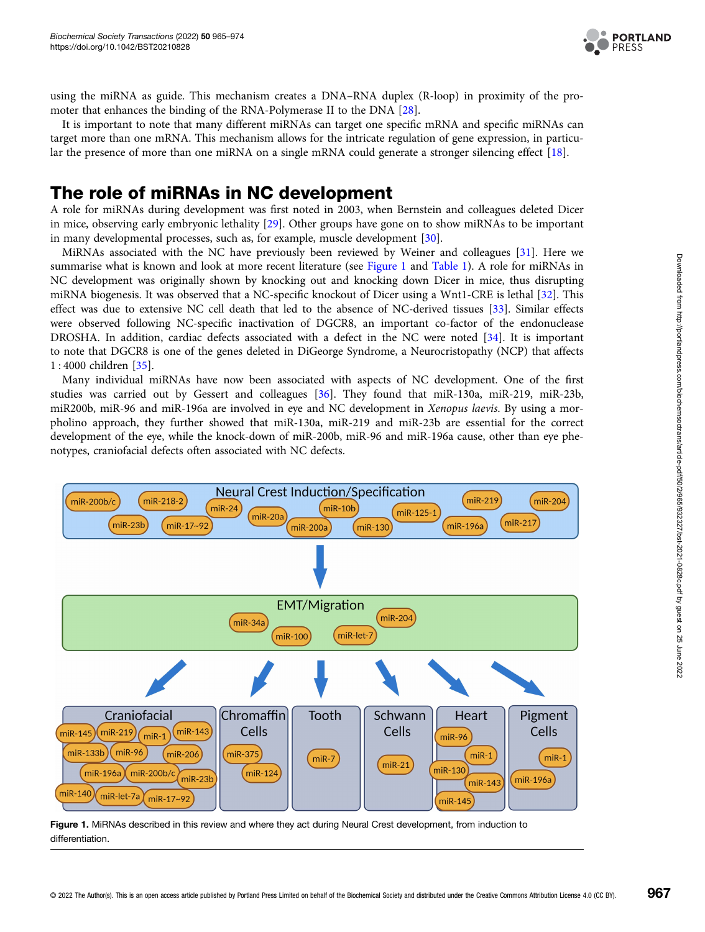

<span id="page-2-0"></span>using the miRNA as guide. This mechanism creates a DNA–RNA duplex (R-loop) in proximity of the promoter that enhances the binding of the RNA-Polymerase II to the DNA [\[28\]](#page-8-0).

It is important to note that many different miRNAs can target one specific mRNA and specific miRNAs can target more than one mRNA. This mechanism allows for the intricate regulation of gene expression, in particular the presence of more than one miRNA on a single mRNA could generate a stronger silencing effect [[18](#page-7-0)].

## The role of miRNAs in NC development

A role for miRNAs during development was first noted in 2003, when Bernstein and colleagues deleted Dicer in mice, observing early embryonic lethality [[29](#page-8-0)]. Other groups have gone on to show miRNAs to be important in many developmental processes, such as, for example, muscle development [\[30\]](#page-8-0).

MiRNAs associated with the NC have previously been reviewed by Weiner and colleagues [\[31\]](#page-8-0). Here we summarise what is known and look at more recent literature (see Figure 1 and [Table 1\)](#page-3-0). A role for miRNAs in NC development was originally shown by knocking out and knocking down Dicer in mice, thus disrupting miRNA biogenesis. It was observed that a NC-specific knockout of Dicer using a Wnt1-CRE is lethal [\[32\]](#page-8-0). This effect was due to extensive NC cell death that led to the absence of NC-derived tissues [\[33\]](#page-8-0). Similar effects were observed following NC-specific inactivation of DGCR8, an important co-factor of the endonuclease DROSHA. In addition, cardiac defects associated with a defect in the NC were noted [[34](#page-8-0)]. It is important to note that DGCR8 is one of the genes deleted in DiGeorge Syndrome, a Neurocristopathy (NCP) that affects 1 : 4000 children [[35\]](#page-8-0).

Many individual miRNAs have now been associated with aspects of NC development. One of the first studies was carried out by Gessert and colleagues [[36](#page-8-0)]. They found that miR-130a, miR-219, miR-23b, miR200b, miR-96 and miR-196a are involved in eye and NC development in Xenopus laevis. By using a morpholino approach, they further showed that miR-130a, miR-219 and miR-23b are essential for the correct development of the eye, while the knock-down of miR-200b, miR-96 and miR-196a cause, other than eye phenotypes, craniofacial defects often associated with NC defects.



Figure 1. MiRNAs described in this review and where they act during Neural Crest development, from induction to differentiation.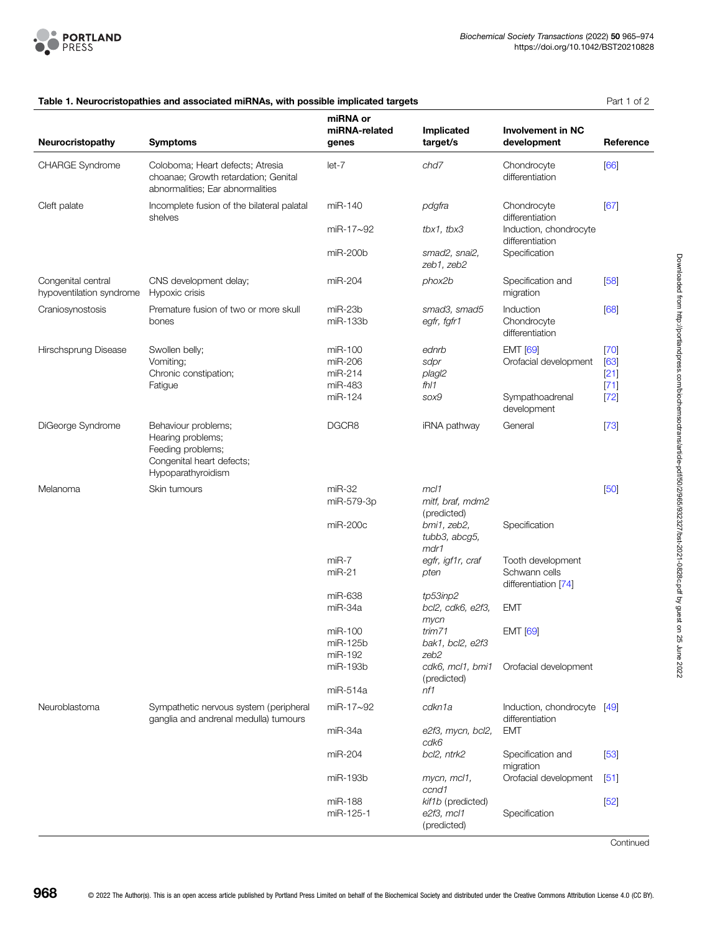<span id="page-3-0"></span>

|                                                | rable 1. Neurochstopathies and associated minings, with possible implicated targets                              |                                          |                                                   |                                                                             | 1 GIL 1 UI <i>L</i>                |
|------------------------------------------------|------------------------------------------------------------------------------------------------------------------|------------------------------------------|---------------------------------------------------|-----------------------------------------------------------------------------|------------------------------------|
| Neurocristopathy                               | <b>Symptoms</b>                                                                                                  | miRNA or<br>miRNA-related<br>genes       | Implicated<br>target/s                            | <b>Involvement in NC</b><br>development                                     | Reference                          |
| CHARGE Syndrome                                | Coloboma; Heart defects; Atresia<br>choanae; Growth retardation; Genital<br>abnormalities; Ear abnormalities     | $let-7$                                  | chd7                                              | Chondrocyte<br>differentiation                                              | [66]                               |
| Cleft palate                                   | Incomplete fusion of the bilateral palatal<br>shelves                                                            | miR-140                                  | pdgfra                                            | Chondrocyte<br>differentiation<br>Induction, chondrocyte<br>differentiation | [67]                               |
|                                                |                                                                                                                  | $miR-17\sim92$                           | $t$ bx1, $t$ bx3                                  |                                                                             |                                    |
|                                                |                                                                                                                  | miR-200b                                 | smad2, snai2,<br>zeb1, zeb2                       | Specification                                                               |                                    |
| Congenital central<br>hypoventilation syndrome | CNS development delay;<br>Hypoxic crisis                                                                         | miR-204                                  | phox2b                                            | Specification and<br>migration                                              | [58]                               |
| Craniosynostosis                               | Premature fusion of two or more skull<br>bones                                                                   | $miR-23b$<br>miR-133b                    | smad3, smad5<br>egfr, fgfr1                       | Induction<br>Chondrocyte<br>differentiation                                 | [68]                               |
| Hirschsprung Disease                           | Swollen belly;<br>Vomiting;<br>Chronic constipation;<br>Fatigue                                                  | miR-100<br>miR-206<br>miR-214<br>miR-483 | ednrb<br>sdpr<br>plagl2<br>fhl1                   | <b>EMT</b> [69]<br>Orofacial development                                    | $[70]$<br>[63]<br>$[21]$<br>$[71]$ |
|                                                |                                                                                                                  | miR-124                                  | sox9                                              | Sympathoadrenal<br>development                                              | $[72]$                             |
| DiGeorge Syndrome                              | Behaviour problems;<br>Hearing problems;<br>Feeding problems;<br>Congenital heart defects;<br>Hypoparathyroidism | DGCR8                                    | iRNA pathway                                      | General                                                                     | $[73]$                             |
| Melanoma                                       | Skin tumours                                                                                                     | $miR-32$                                 | mcl1                                              |                                                                             | [50]                               |
|                                                |                                                                                                                  | miR-579-3p                               | mitf, braf, mdm2<br>(predicted)                   |                                                                             |                                    |
|                                                |                                                                                                                  | miR-200c                                 | bmi1, zeb2,<br>tubb3, abcg5,<br>mdr1              | Specification                                                               |                                    |
|                                                |                                                                                                                  | $miR-7$<br>$miR-21$                      | egfr, igf1r, craf<br>pten                         | Tooth development<br>Schwann cells<br>differentiation [74]                  |                                    |
|                                                |                                                                                                                  | miR-638<br>miR-34a                       | tp53inp2<br>bcl2, cdk6, e2f3,                     | <b>EMT</b>                                                                  |                                    |
|                                                |                                                                                                                  | miR-100<br>miR-125b<br>miR-192           | mycn<br>trim71<br>bak1, bcl2, e2f3<br>zeb2        | <b>EMT</b> [69]                                                             |                                    |
|                                                |                                                                                                                  | miR-193b                                 | cdk6, mcl1, bmi1<br>(predicted)                   | Orofacial development                                                       |                                    |
|                                                |                                                                                                                  | miR-514a                                 | nf1                                               |                                                                             |                                    |
| Neuroblastoma                                  | Sympathetic nervous system (peripheral<br>ganglia and andrenal medulla) tumours                                  | miR-17~92                                | cdkn1a                                            | Induction, chondrocyte [49]<br>differentiation                              |                                    |
|                                                |                                                                                                                  | miR-34a                                  | e2f3, mycn, bcl2,<br>cdk6                         | <b>EMT</b>                                                                  |                                    |
|                                                |                                                                                                                  | miR-204                                  | bcl2, ntrk2                                       | Specification and<br>migration                                              | $[53]$                             |
|                                                |                                                                                                                  | miR-193b                                 | mycn, mcl1,<br>ccnd1                              | Orofacial development                                                       | [51]                               |
|                                                |                                                                                                                  | miR-188<br>miR-125-1                     | kif1b (predicted)<br>$e2f3$ , mcl1<br>(predicted) | Specification                                                               | $[52]$                             |

## Table 1. Neurocristopathies and associated miRNAs, with possible implicated targets **Part 1 of 2** Part 1 of 2

**Continued**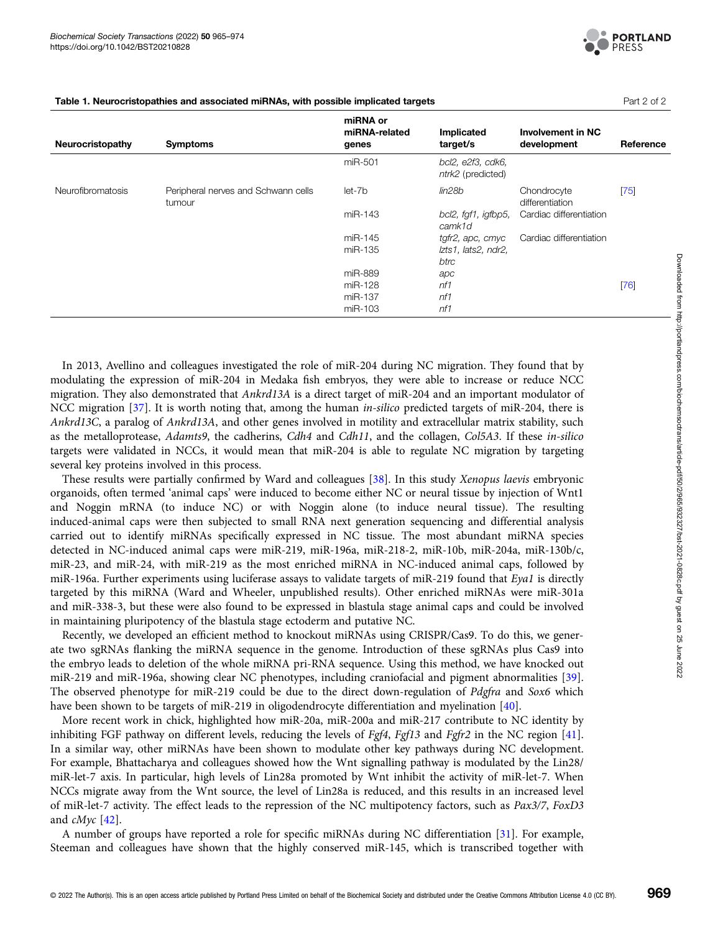

| Neurocristopathy         | <b>Symptoms</b>                               | miRNA or<br>miRNA-related<br>genes | Implicated<br>target/s                 | <b>Involvement in NC</b><br>development | Reference |
|--------------------------|-----------------------------------------------|------------------------------------|----------------------------------------|-----------------------------------------|-----------|
|                          |                                               | miR-501                            | bcl2, e2f3, cdk6,<br>ntrk2 (predicted) |                                         |           |
| <b>Neurofibromatosis</b> | Peripheral nerves and Schwann cells<br>tumour | let-7b                             | lin28b                                 | Chondrocyte<br>differentiation          | $[75]$    |
|                          |                                               | miR-143                            | bcl2, fgf1, igfbp5,<br>camk1d          | Cardiac differentiation                 |           |
|                          |                                               | miR-145                            | tgfr2, apc, cmyc                       | Cardiac differentiation                 |           |
|                          |                                               | miR-135                            | Izts1, lats2, ndr2,                    |                                         |           |
|                          |                                               |                                    | btrc                                   |                                         |           |
|                          |                                               | miR-889                            | apc                                    |                                         |           |
|                          |                                               | miR-128                            | n f 1                                  |                                         | [76]      |
|                          |                                               | miR-137                            | n f                                    |                                         |           |
|                          |                                               | miR-103                            | n f                                    |                                         |           |

Table 1. Neurocristopathies and associated miRNAs, with possible implicated targets **Part 2 of 2** Part 2 of 2

In 2013, Avellino and colleagues investigated the role of miR-204 during NC migration. They found that by modulating the expression of miR-204 in Medaka fish embryos, they were able to increase or reduce NCC migration. They also demonstrated that Ankrd13A is a direct target of miR-204 and an important modulator of NCC migration [\[37\]](#page-8-0). It is worth noting that, among the human *in-silico* predicted targets of miR-204, there is Ankrd13C, a paralog of Ankrd13A, and other genes involved in motility and extracellular matrix stability, such as the metalloprotease, Adamts9, the cadherins, Cdh4 and Cdh11, and the collagen, Col5A3. If these in-silico targets were validated in NCCs, it would mean that miR-204 is able to regulate NC migration by targeting several key proteins involved in this process.

These results were partially confirmed by Ward and colleagues [\[38\]](#page-8-0). In this study Xenopus laevis embryonic organoids, often termed 'animal caps' were induced to become either NC or neural tissue by injection of Wnt1 and Noggin mRNA (to induce NC) or with Noggin alone (to induce neural tissue). The resulting induced-animal caps were then subjected to small RNA next generation sequencing and differential analysis carried out to identify miRNAs specifically expressed in NC tissue. The most abundant miRNA species detected in NC-induced animal caps were miR-219, miR-196a, miR-218-2, miR-10b, miR-204a, miR-130b/c, miR-23, and miR-24, with miR-219 as the most enriched miRNA in NC-induced animal caps, followed by miR-196a. Further experiments using luciferase assays to validate targets of miR-219 found that Eya1 is directly targeted by this miRNA (Ward and Wheeler, unpublished results). Other enriched miRNAs were miR-301a and miR-338-3, but these were also found to be expressed in blastula stage animal caps and could be involved in maintaining pluripotency of the blastula stage ectoderm and putative NC.

Recently, we developed an efficient method to knockout miRNAs using CRISPR/Cas9. To do this, we generate two sgRNAs flanking the miRNA sequence in the genome. Introduction of these sgRNAs plus Cas9 into the embryo leads to deletion of the whole miRNA pri-RNA sequence. Using this method, we have knocked out miR-219 and miR-196a, showing clear NC phenotypes, including craniofacial and pigment abnormalities [\[39\]](#page-8-0). The observed phenotype for miR-219 could be due to the direct down-regulation of Pdgfra and Sox6 which have been shown to be targets of miR-219 in oligodendrocyte differentiation and myelination [\[40](#page-8-0)].

More recent work in chick, highlighted how miR-20a, miR-200a and miR-217 contribute to NC identity by inhibiting FGF pathway on different levels, reducing the levels of Fgf4, Fgf13 and Fgfr2 in the NC region [[41\]](#page-8-0). In a similar way, other miRNAs have been shown to modulate other key pathways during NC development. For example, Bhattacharya and colleagues showed how the Wnt signalling pathway is modulated by the Lin28/ miR-let-7 axis. In particular, high levels of Lin28a promoted by Wnt inhibit the activity of miR-let-7. When NCCs migrate away from the Wnt source, the level of Lin28a is reduced, and this results in an increased level of miR-let-7 activity. The effect leads to the repression of the NC multipotency factors, such as Pax3/7, FoxD3 and cMyc [[42](#page-8-0)].

A number of groups have reported a role for specific miRNAs during NC differentiation [\[31\]](#page-8-0). For example, Steeman and colleagues have shown that the highly conserved miR-145, which is transcribed together with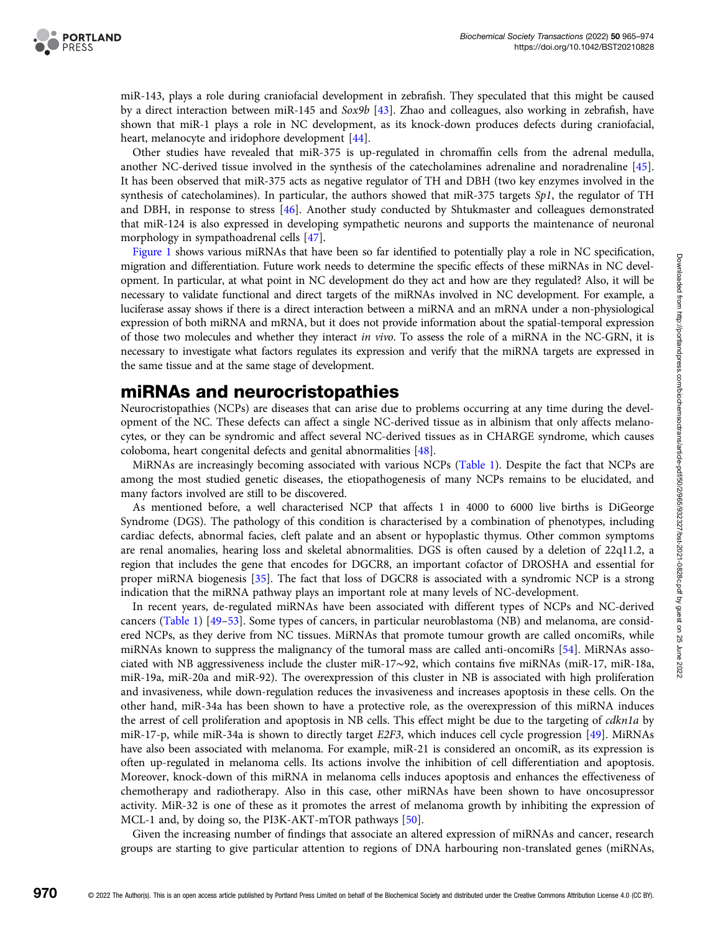

miR-143, plays a role during craniofacial development in zebrafish. They speculated that this might be caused by a direct interaction between miR-145 and Sox9b [\[43\]](#page-8-0). Zhao and colleagues, also working in zebrafish, have shown that miR-1 plays a role in NC development, as its knock-down produces defects during craniofacial, heart, melanocyte and iridophore development [[44\]](#page-8-0).

Other studies have revealed that miR-375 is up-regulated in chromaffin cells from the adrenal medulla, another NC-derived tissue involved in the synthesis of the catecholamines adrenaline and noradrenaline [[45](#page-8-0)]. It has been observed that miR-375 acts as negative regulator of TH and DBH (two key enzymes involved in the synthesis of catecholamines). In particular, the authors showed that miR-375 targets  $Sp1$ , the regulator of TH and DBH, in response to stress [[46](#page-8-0)]. Another study conducted by Shtukmaster and colleagues demonstrated that miR-124 is also expressed in developing sympathetic neurons and supports the maintenance of neuronal morphology in sympathoadrenal cells [[47\]](#page-8-0).

[Figure 1](#page-2-0) shows various miRNAs that have been so far identified to potentially play a role in NC specification, migration and differentiation. Future work needs to determine the specific effects of these miRNAs in NC development. In particular, at what point in NC development do they act and how are they regulated? Also, it will be necessary to validate functional and direct targets of the miRNAs involved in NC development. For example, a luciferase assay shows if there is a direct interaction between a miRNA and an mRNA under a non-physiological expression of both miRNA and mRNA, but it does not provide information about the spatial-temporal expression of those two molecules and whether they interact in vivo. To assess the role of a miRNA in the NC-GRN, it is necessary to investigate what factors regulates its expression and verify that the miRNA targets are expressed in the same tissue and at the same stage of development.

## miRNAs and neurocristopathies

Neurocristopathies (NCPs) are diseases that can arise due to problems occurring at any time during the development of the NC. These defects can affect a single NC-derived tissue as in albinism that only affects melanocytes, or they can be syndromic and affect several NC-derived tissues as in CHARGE syndrome, which causes coloboma, heart congenital defects and genital abnormalities [\[48\]](#page-8-0).

MiRNAs are increasingly becoming associated with various NCPs ([Table 1](#page-3-0)). Despite the fact that NCPs are among the most studied genetic diseases, the etiopathogenesis of many NCPs remains to be elucidated, and many factors involved are still to be discovered.

As mentioned before, a well characterised NCP that affects 1 in 4000 to 6000 live births is DiGeorge Syndrome (DGS). The pathology of this condition is characterised by a combination of phenotypes, including cardiac defects, abnormal facies, cleft palate and an absent or hypoplastic thymus. Other common symptoms are renal anomalies, hearing loss and skeletal abnormalities. DGS is often caused by a deletion of 22q11.2, a region that includes the gene that encodes for DGCR8, an important cofactor of DROSHA and essential for proper miRNA biogenesis [\[35](#page-8-0)]. The fact that loss of DGCR8 is associated with a syndromic NCP is a strong indication that the miRNA pathway plays an important role at many levels of NC-development.

In recent years, de-regulated miRNAs have been associated with different types of NCPs and NC-derived cancers [\(Table 1\)](#page-3-0) [[49](#page-8-0)–[53\]](#page-8-0). Some types of cancers, in particular neuroblastoma (NB) and melanoma, are considered NCPs, as they derive from NC tissues. MiRNAs that promote tumour growth are called oncomiRs, while miRNAs known to suppress the malignancy of the tumoral mass are called anti-oncomiRs [\[54](#page-8-0)]. MiRNAs associated with NB aggressiveness include the cluster miR-17∼92, which contains five miRNAs (miR-17, miR-18a, miR-19a, miR-20a and miR-92). The overexpression of this cluster in NB is associated with high proliferation and invasiveness, while down-regulation reduces the invasiveness and increases apoptosis in these cells. On the other hand, miR-34a has been shown to have a protective role, as the overexpression of this miRNA induces the arrest of cell proliferation and apoptosis in NB cells. This effect might be due to the targeting of cdkn1a by miR-17-p, while miR-34a is shown to directly target E2F3, which induces cell cycle progression [[49](#page-8-0)]. MiRNAs have also been associated with melanoma. For example, miR-21 is considered an oncomiR, as its expression is often up-regulated in melanoma cells. Its actions involve the inhibition of cell differentiation and apoptosis. Moreover, knock-down of this miRNA in melanoma cells induces apoptosis and enhances the effectiveness of chemotherapy and radiotherapy. Also in this case, other miRNAs have been shown to have oncosupressor activity. MiR-32 is one of these as it promotes the arrest of melanoma growth by inhibiting the expression of MCL-1 and, by doing so, the PI3K-AKT-mTOR pathways [[50\]](#page-8-0).

Given the increasing number of findings that associate an altered expression of miRNAs and cancer, research groups are starting to give particular attention to regions of DNA harbouring non-translated genes (miRNAs,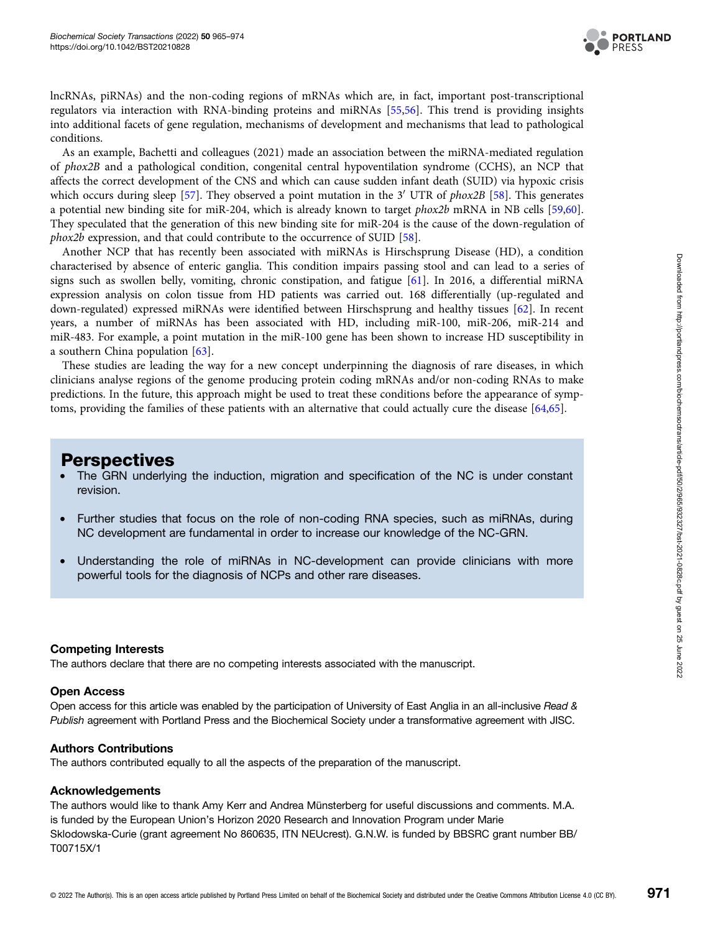

lncRNAs, piRNAs) and the non-coding regions of mRNAs which are, in fact, important post-transcriptional regulators via interaction with RNA-binding proteins and miRNAs [[55,56](#page-8-0)]. This trend is providing insights into additional facets of gene regulation, mechanisms of development and mechanisms that lead to pathological conditions.

As an example, Bachetti and colleagues (2021) made an association between the miRNA-mediated regulation of phox2B and a pathological condition, congenital central hypoventilation syndrome (CCHS), an NCP that affects the correct development of the CNS and which can cause sudden infant death (SUID) via hypoxic crisis which occurs during sleep [[57](#page-8-0)]. They observed a point mutation in the 3<sup>'</sup> UTR of *phox2B* [[58](#page-8-0)]. This generates a potential new binding site for miR-204, which is already known to target phox2b mRNA in NB cells [\[59,](#page-8-0)[60\]](#page-9-0). They speculated that the generation of this new binding site for miR-204 is the cause of the down-regulation of phox2b expression, and that could contribute to the occurrence of SUID [\[58\]](#page-8-0).

Another NCP that has recently been associated with miRNAs is Hirschsprung Disease (HD), a condition characterised by absence of enteric ganglia. This condition impairs passing stool and can lead to a series of signs such as swollen belly, vomiting, chronic constipation, and fatigue [\[61\]](#page-9-0). In 2016, a differential miRNA expression analysis on colon tissue from HD patients was carried out. 168 differentially (up-regulated and down-regulated) expressed miRNAs were identified between Hirschsprung and healthy tissues [\[62\]](#page-9-0). In recent years, a number of miRNAs has been associated with HD, including miR-100, miR-206, miR-214 and miR-483. For example, a point mutation in the miR-100 gene has been shown to increase HD susceptibility in a southern China population [\[63](#page-9-0)].

These studies are leading the way for a new concept underpinning the diagnosis of rare diseases, in which clinicians analyse regions of the genome producing protein coding mRNAs and/or non-coding RNAs to make predictions. In the future, this approach might be used to treat these conditions before the appearance of symptoms, providing the families of these patients with an alternative that could actually cure the disease [\[64,65](#page-9-0)].

## **Perspectives**

- The GRN underlying the induction, migration and specification of the NC is under constant revision.
- Further studies that focus on the role of non-coding RNA species, such as miRNAs, during NC development are fundamental in order to increase our knowledge of the NC-GRN.
- Understanding the role of miRNAs in NC-development can provide clinicians with more powerful tools for the diagnosis of NCPs and other rare diseases.

## Competing Interests

The authors declare that there are no competing interests associated with the manuscript.

#### Open Access

Open access for this article was enabled by the participation of University of East Anglia in an all-inclusive Read & Publish agreement with Portland Press and the Biochemical Society under a transformative agreement with JISC.

#### Authors Contributions

The authors contributed equally to all the aspects of the preparation of the manuscript.

#### Acknowledgements

The authors would like to thank Amy Kerr and Andrea Münsterberg for useful discussions and comments. M.A. is funded by the European Union's Horizon 2020 Research and Innovation Program under Marie Sklodowska-Curie (grant agreement No 860635, ITN NEUcrest). G.N.W. is funded by BBSRC grant number BB/ T00715X/1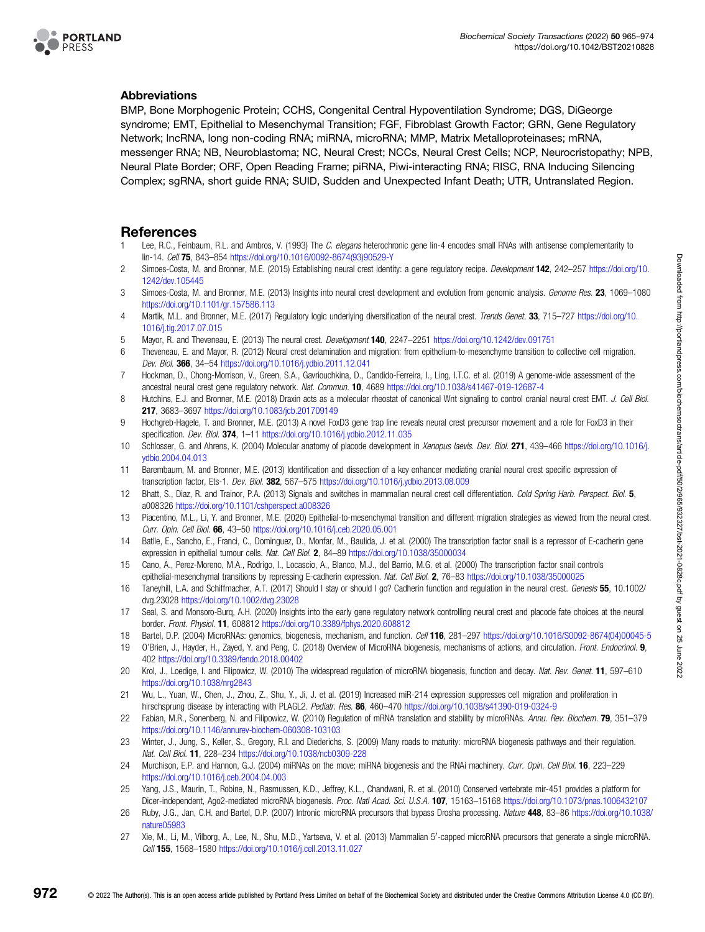<span id="page-7-0"></span>

## Abbreviations

BMP, Bone Morphogenic Protein; CCHS, Congenital Central Hypoventilation Syndrome; DGS, DiGeorge syndrome; EMT, Epithelial to Mesenchymal Transition; FGF, Fibroblast Growth Factor; GRN, Gene Regulatory Network; lncRNA, long non-coding RNA; miRNA, microRNA; MMP, Matrix Metalloproteinases; mRNA, messenger RNA; NB, Neuroblastoma; NC, Neural Crest; NCCs, Neural Crest Cells; NCP, Neurocristopathy; NPB, Neural Plate Border; ORF, Open Reading Frame; piRNA, Piwi-interacting RNA; RISC, RNA Inducing Silencing Complex; sgRNA, short guide RNA; SUID, Sudden and Unexpected Infant Death; UTR, Untranslated Region.

## References

- Lee, R.C., Feinbaum, R.L. and Ambros, V. (1993) The C. elegans heterochronic gene lin-4 encodes small RNAs with antisense complementarity to lin-14. Cell 75, 843–854 [https://doi.org/10.1016/0092-8674\(93\)90529-Y](https://doi.org/10.1016/0092-8674(93)90529-Y)
- 2 Simoes-Costa, M. and Bronner, M.E. (2015) Establishing neural crest identity: a gene regulatory recipe. Development 142, 242–257 [https://doi.org/10.](https://doi.org/10.1242/dev.105445) [1242/dev.105445](https://doi.org/10.1242/dev.105445)
- 3 Simoes-Costa, M. and Bronner, M.E. (2013) Insights into neural crest development and evolution from genomic analysis. Genome Res. 23, 1069-1080 <https://doi.org/10.1101/gr.157586.113>
- 4 Martik, M.L. and Bronner, M.E. (2017) Regulatory logic underlying diversification of the neural crest. Trends Genet. 33, 715–727 [https://doi.org/10.](https://doi.org/10.1016/j.tig.2017.07.015) [1016/j.tig.2017.07.015](https://doi.org/10.1016/j.tig.2017.07.015)
- 5 Mayor, R. and Theveneau, E. (2013) The neural crest. Development 140, 2247–2251 <https://doi.org/10.1242/dev.091751>
- 6 Theveneau, E. and Mayor, R. (2012) Neural crest delamination and migration: from epithelium-to-mesenchyme transition to collective cell migration. Dev. Biol. 366, 34–54 <https://doi.org/10.1016/j.ydbio.2011.12.041>
- 7 Hockman, D., Chong-Morrison, V., Green, S.A., Gavriouchkina, D., Candido-Ferreira, I., Ling, I.T.C. et al. (2019) A genome-wide assessment of the ancestral neural crest gene regulatory network. Nat. Commun. 10, 4689 <https://doi.org/10.1038/s41467-019-12687-4>
- 8 Hutchins, E.J. and Bronner, M.E. (2018) Draxin acts as a molecular rheostat of canonical Wnt signaling to control cranial neural crest EMT. J. Cell Biol. 217, 3683–3697 <https://doi.org/10.1083/jcb.201709149>
- 9 Hochgreb-Hagele, T. and Bronner, M.E. (2013) A novel FoxD3 gene trap line reveals neural crest precursor movement and a role for FoxD3 in their specification. Dev. Biol. 374, 1–11 <https://doi.org/10.1016/j.ydbio.2012.11.035>
- 10 Schlosser, G. and Ahrens, K. (2004) Molecular anatomy of placode development in Xenopus laevis. Dev. Biol. 271, 439–466 [https://doi.org/10.1016/j.](https://doi.org/10.1016/j.ydbio.2004.04.013) [ydbio.2004.04.013](https://doi.org/10.1016/j.ydbio.2004.04.013)
- 11 Barembaum, M. and Bronner, M.E. (2013) Identification and dissection of a key enhancer mediating cranial neural crest specific expression of transcription factor, Ets-1. Dev. Biol. 382, 567–575 <https://doi.org/10.1016/j.ydbio.2013.08.009>
- 12 Bhatt, S., Diaz, R. and Trainor, P.A. (2013) Signals and switches in mammalian neural crest cell differentiation. Cold Spring Harb. Perspect. Biol. 5, a008326 <https://doi.org/10.1101/cshperspect.a008326>
- 13 Piacentino, M.L., Li, Y. and Bronner, M.E. (2020) Epithelial-to-mesenchymal transition and different migration strategies as viewed from the neural crest. Curr. Opin. Cell Biol. 66, 43–50 <https://doi.org/10.1016/j.ceb.2020.05.001>
- 14 Batlle, E., Sancho, E., Franci, C., Dominguez, D., Monfar, M., Baulida, J. et al. (2000) The transcription factor snail is a repressor of E-cadherin gene expression in epithelial tumour cells. Nat. Cell Biol. 2, 84-89 <https://doi.org/10.1038/35000034>
- 15 Cano, A., Perez-Moreno, M.A., Rodrigo, I., Locascio, A., Blanco, M.J., del Barrio, M.G. et al. (2000) The transcription factor snail controls epithelial-mesenchymal transitions by repressing E-cadherin expression. Nat. Cell Biol. 2, 76–83 <https://doi.org/10.1038/35000025>
- 16 Taneyhill, L.A. and Schiffmacher, A.T. (2017) Should I stay or should I go? Cadherin function and regulation in the neural crest. Genesis 55, 10.1002/ dvg.23028 <https://doi.org/10.1002/dvg.23028>
- 17 Seal, S. and Monsoro-Burq, A.H. (2020) Insights into the early gene regulatory network controlling neural crest and placode fate choices at the neural border. Front. Physiol. 11, 608812 <https://doi.org/10.3389/fphys.2020.608812>
- 18 Bartel, D.P. (2004) MicroRNAs: genomics, biogenesis, mechanism, and function. Cell 116, 281-297 [https://doi.org/10.1016/S0092-8674\(04\)00045-5](https://doi.org/10.1016/S0092-8674(04)00045-5)
- 19 O'Brien, J., Hayder, H., Zayed, Y. and Peng, C. (2018) Overview of MicroRNA biogenesis, mechanisms of actions, and circulation. Front. Endocrinol. 9, 402 <https://doi.org/10.3389/fendo.2018.00402>
- 20 Krol, J., Loedige, I. and Filipowicz, W. (2010) The widespread regulation of microRNA biogenesis, function and decay. Nat. Rev. Genet. 11, 597–610 <https://doi.org/10.1038/nrg2843>
- 21 Wu, L., Yuan, W., Chen, J., Zhou, Z., Shu, Y., Ji, J. et al. (2019) Increased miR-214 expression suppresses cell migration and proliferation in hirschsprung disease by interacting with PLAGL2. Pediatr. Res. 86, 460–470 <https://doi.org/10.1038/s41390-019-0324-9>
- 22 Fabian, M.R., Sonenberg, N. and Filipowicz, W. (2010) Regulation of mRNA translation and stability by microRNAs. Annu. Rev. Biochem. 79, 351-379 <https://doi.org/10.1146/annurev-biochem-060308-103103>
- 23 Winter, J., Jung, S., Keller, S., Gregory, R.I. and Diederichs, S. (2009) Many roads to maturity: microRNA biogenesis pathways and their regulation. Nat. Cell Biol. 11, 228–234 <https://doi.org/10.1038/ncb0309-228>
- 24 Murchison, E.P. and Hannon, G.J. (2004) miRNAs on the move: miRNA biogenesis and the RNAi machinery. Curr. Opin. Cell Biol. 16, 223-229 <https://doi.org/10.1016/j.ceb.2004.04.003>
- 25 Yang, J.S., Maurin, T., Robine, N., Rasmussen, K.D., Jeffrey, K.L., Chandwani, R. et al. (2010) Conserved vertebrate mir-451 provides a platform for Dicer-independent, Ago2-mediated microRNA biogenesis. Proc. Natl Acad. Sci. U.S.A. 107, 15163-15168 <https://doi.org/10.1073/pnas.1006432107>
- 26 Ruby, J.G., Jan, C.H. and Bartel, D.P. (2007) Intronic microRNA precursors that bypass Drosha processing. Nature 448, 83–86 [https://doi.org/10.1038/](https://doi.org/10.1038/nature05983) [nature05983](https://doi.org/10.1038/nature05983)
- 27 Xie, M., Li, M., Vilborg, A., Lee, N., Shu, M.D., Yartseva, V. et al. (2013) Mammalian 5'-capped microRNA precursors that generate a single microRNA. Cell 155, 1568–1580 <https://doi.org/10.1016/j.cell.2013.11.027>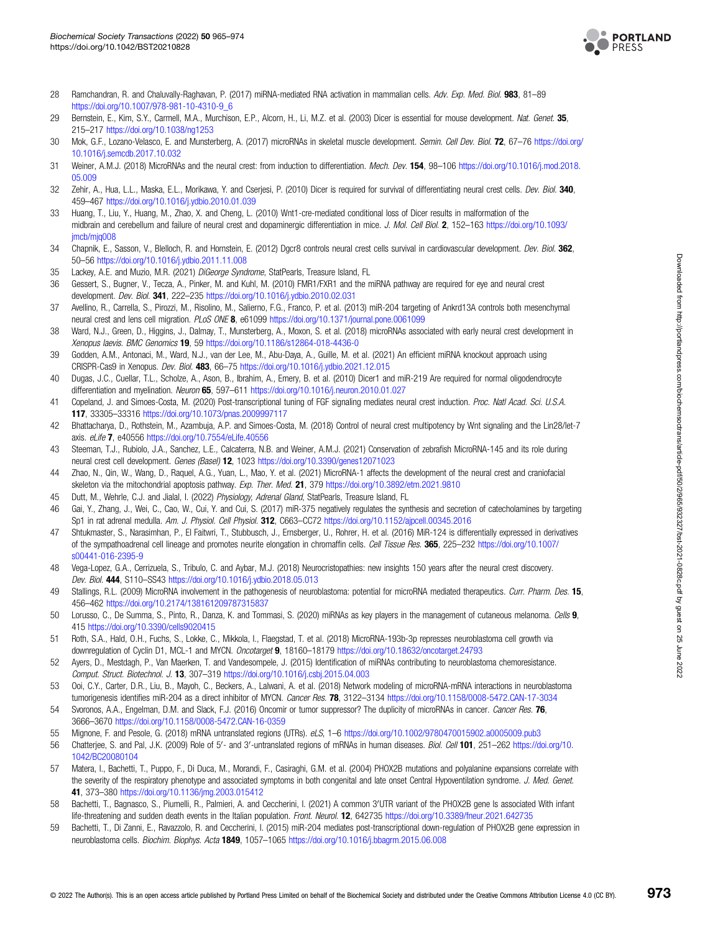

- <span id="page-8-0"></span>28 Ramchandran, R. and Chaluvally-Raghavan, P. (2017) miRNA-mediated RNA activation in mammalian cells. Adv. Exp. Med. Biol. 983, 81-89 [https://doi.org/10.1007/978-981-10-4310-9\\_6](https://doi.org/10.1007/978-981-10-4310-9_6)
- 29 Bernstein, E., Kim, S.Y., Carmell, M.A., Murchison, E.P., Alcorn, H., Li, M.Z. et al. (2003) Dicer is essential for mouse development. Nat. Genet. 35, 215–217 <https://doi.org/10.1038/ng1253>
- 30 Mok, G.F., Lozano-Velasco, E. and Munsterberg, A. (2017) microRNAs in skeletal muscle development. Semin. Cell Dev. Biol. 72, 67-76 [https://doi.org/](https://doi.org/10.1016/j.semcdb.2017.10.032) [10.1016/j.semcdb.2017.10.032](https://doi.org/10.1016/j.semcdb.2017.10.032)
- 31 Weiner, A.M.J. (2018) MicroRNAs and the neural crest: from induction to differentiation. Mech. Dev. 154, 98–106 [https://doi.org/10.1016/j.mod.2018.](https://doi.org/10.1016/j.mod.2018.05.009) [05.009](https://doi.org/10.1016/j.mod.2018.05.009)
- 32 Zehir, A., Hua, L.L., Maska, E.L., Morikawa, Y. and Cserjesi, P. (2010) Dicer is required for survival of differentiating neural crest cells. Dev. Biol. 340, 459–467 <https://doi.org/10.1016/j.ydbio.2010.01.039>
- 33 Huang, T., Liu, Y., Huang, M., Zhao, X. and Cheng, L. (2010) Wnt1-cre-mediated conditional loss of Dicer results in malformation of the midbrain and cerebellum and failure of neural crest and dopaminergic differentiation in mice. J. Mol. Cell Biol. 2, 152-163 [https://doi.org/10.1093/](https://doi.org/10.1093/jmcb/mjq008) imcb/mig008
- 34 Chapnik, E., Sasson, V., Blelloch, R. and Hornstein, E. (2012) Dgcr8 controls neural crest cells survival in cardiovascular development. Dev. Biol. 362, 50–56 <https://doi.org/10.1016/j.ydbio.2011.11.008>
- 35 Lackey, A.E. and Muzio, M.R. (2021) DiGeorge Syndrome, StatPearls, Treasure Island, FL
- 36 Gessert, S., Bugner, V., Tecza, A., Pinker, M. and Kuhl, M. (2010) FMR1/FXR1 and the miRNA pathway are required for eye and neural crest development. Dev. Biol. 341, 222–235 <https://doi.org/10.1016/j.ydbio.2010.02.031>
- 37 Avellino, R., Carrella, S., Pirozzi, M., Risolino, M., Salierno, F.G., Franco, P. et al. (2013) miR-204 targeting of Ankrd13A controls both mesenchymal neural crest and lens cell migration. PLoS ONE 8, e61099 <https://doi.org/10.1371/journal.pone.0061099>
- 38 Ward, N.J., Green, D., Higgins, J., Dalmay, T., Munsterberg, A., Moxon, S. et al. (2018) microRNAs associated with early neural crest development in Xenopus laevis. BMC Genomics 19, 59 <https://doi.org/10.1186/s12864-018-4436-0>
- 39 Godden, A.M., Antonaci, M., Ward, N.J., van der Lee, M., Abu-Daya, A., Guille, M. et al. (2021) An efficient miRNA knockout approach using CRISPR-Cas9 in Xenopus. Dev. Biol. 483, 66–75 <https://doi.org/10.1016/j.ydbio.2021.12.015>
- 40 Dugas, J.C., Cuellar, T.L., Scholze, A., Ason, B., Ibrahim, A., Emery, B. et al. (2010) Dicer1 and miR-219 Are required for normal oligodendrocyte differentiation and myelination. Neuron 65, 597-611 <https://doi.org/10.1016/j.neuron.2010.01.027>
- 41 Copeland, J. and Simoes-Costa, M. (2020) Post-transcriptional tuning of FGF signaling mediates neural crest induction. Proc. Natl Acad. Sci. U.S.A. 117, 33305–33316 <https://doi.org/10.1073/pnas.2009997117>
- 42 Bhattacharya, D., Rothstein, M., Azambuja, A.P. and Simoes-Costa, M. (2018) Control of neural crest multipotency by Wnt signaling and the Lin28/let-7 axis. eLife 7, e40556 <https://doi.org/10.7554/eLife.40556>
- 43 Steeman, T.J., Rubiolo, J.A., Sanchez, L.E., Calcaterra, N.B. and Weiner, A.M.J. (2021) Conservation of zebrafish MicroRNA-145 and its role during neural crest cell development. Genes (Basel) 12, 1023 <https://doi.org/10.3390/genes12071023>
- 44 Zhao, N., Qin, W., Wang, D., Raquel, A.G., Yuan, L., Mao, Y. et al. (2021) MicroRNA-1 affects the development of the neural crest and craniofacial skeleton via the mitochondrial apoptosis pathway. Exp. Ther. Med. 21, 379 <https://doi.org/10.3892/etm.2021.9810>
- 45 Dutt, M., Wehrle, C.J. and Jialal, I. (2022) Physiology, Adrenal Gland, StatPearls, Treasure Island, FL
- 46 Gai, Y., Zhang, J., Wei, C., Cao, W., Cui, Y. and Cui, S. (2017) miR-375 negatively regulates the synthesis and secretion of catecholamines by targeting Sp1 in rat adrenal medulla. Am. J. Physiol. Cell Physiol. 312, C663–CC72 <https://doi.org/10.1152/ajpcell.00345.2016>
- 47 Shtukmaster, S., Narasimhan, P., El Faitwri, T., Stubbusch, J., Ernsberger, U., Rohrer, H. et al. (2016) MiR-124 is differentially expressed in derivatives of the sympathoadrenal cell lineage and promotes neurite elongation in chromaffin cells. Cell Tissue Res. 365, 225–232 [https://doi.org/10.1007/](https://doi.org/10.1007/s00441-016-2395-9) [s00441-016-2395-9](https://doi.org/10.1007/s00441-016-2395-9)
- 48 Vega-Lopez, G.A., Cerrizuela, S., Tribulo, C. and Aybar, M.J. (2018) Neurocristopathies: new insights 150 years after the neural crest discovery. Dev. Biol. 444, S110–SS43 <https://doi.org/10.1016/j.ydbio.2018.05.013>
- 49 Stallings, R.L. (2009) MicroRNA involvement in the pathogenesis of neuroblastoma: potential for microRNA mediated therapeutics. Curr. Pharm. Des. 15, 456–462 <https://doi.org/10.2174/138161209787315837>
- 50 Lorusso, C., De Summa, S., Pinto, R., Danza, K. and Tommasi, S. (2020) miRNAs as key players in the management of cutaneous melanoma. Cells 9, 415 <https://doi.org/10.3390/cells9020415>
- 51 Roth, S.A., Hald, O.H., Fuchs, S., Lokke, C., Mikkola, I., Flaegstad, T. et al. (2018) MicroRNA-193b-3p represses neuroblastoma cell growth via downregulation of Cyclin D1, MCL-1 and MYCN. Oncotarget 9, 18160–18179 <https://doi.org/10.18632/oncotarget.24793>
- 52 Ayers, D., Mestdagh, P., Van Maerken, T. and Vandesompele, J. (2015) Identification of miRNAs contributing to neuroblastoma chemoresistance. Comput. Struct. Biotechnol. J. 13, 307–319 <https://doi.org/10.1016/j.csbj.2015.04.003>
- 53 Ooi, C.Y., Carter, D.R., Liu, B., Mayoh, C., Beckers, A., Lalwani, A. et al. (2018) Network modeling of microRNA-mRNA interactions in neuroblastoma tumorigenesis identifies miR-204 as a direct inhibitor of MYCN. Cancer Res. 78, 3122–3134 <https://doi.org/10.1158/0008-5472.CAN-17-3034>
- 54 Svoronos, A.A., Engelman, D.M. and Slack, F.J. (2016) Oncomir or tumor suppressor? The duplicity of microRNAs in cancer. Cancer Res. 76, 3666–3670 <https://doi.org/10.1158/0008-5472.CAN-16-0359>
- 55 Mignone, F. and Pesole, G. (2018) mRNA untranslated regions (UTRs). eLS, 1–6 <https://doi.org/10.1002/9780470015902.a0005009.pub3>
- 56 Chatterjee, S. and Pal, J.K. (2009) Role of 5'- and 3'-untranslated regions of mRNAs in human diseases. Biol. Cell 101, 251-262 [https://doi.org/10.](https://doi.org/10.1042/BC20080104) [1042/BC20080104](https://doi.org/10.1042/BC20080104)
- 57 Matera, I., Bachetti, T., Puppo, F., Di Duca, M., Morandi, F., Casiraghi, G.M. et al. (2004) PHOX2B mutations and polyalanine expansions correlate with the severity of the respiratory phenotype and associated symptoms in both congenital and late onset Central Hypoventilation syndrome. J. Med. Genet. 41, 373–380 <https://doi.org/10.1136/jmg.2003.015412>
- 58 Bachetti, T., Bagnasco, S., Piumelli, R., Palmieri, A. and Ceccherini, I. (2021) A common 3'UTR variant of the PHOX2B gene Is associated With infant life-threatening and sudden death events in the Italian population. Front. Neurol. 12, 642735 <https://doi.org/10.3389/fneur.2021.642735>
- 59 Bachetti, T., Di Zanni, E., Ravazzolo, R. and Ceccherini, I. (2015) miR-204 mediates post-transcriptional down-regulation of PHOX2B gene expression in neuroblastoma cells. Biochim. Biophys. Acta 1849, 1057-1065 <https://doi.org/10.1016/j.bbagrm.2015.06.008>